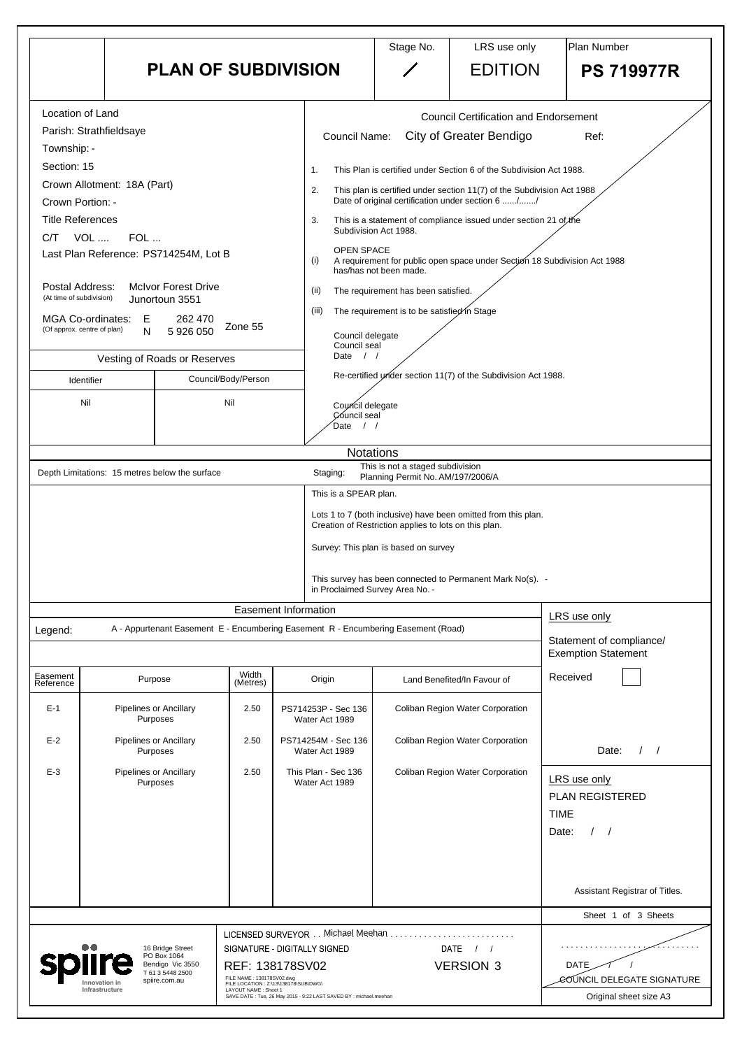|                                                                                                                                                                                                                                                                  |                                                                                                                                                                    | <b>PLAN OF SUBDIVISION</b>                                                                 |                                                                                                                                                                                               | Stage No.                                                                                                                                                              | LRS use only<br><b>EDITION</b>                                                                                                                                                                                                                                                                                                                                                                                                                                                                         | Plan Number<br><b>PS 719977R</b>                                       |
|------------------------------------------------------------------------------------------------------------------------------------------------------------------------------------------------------------------------------------------------------------------|--------------------------------------------------------------------------------------------------------------------------------------------------------------------|--------------------------------------------------------------------------------------------|-----------------------------------------------------------------------------------------------------------------------------------------------------------------------------------------------|------------------------------------------------------------------------------------------------------------------------------------------------------------------------|--------------------------------------------------------------------------------------------------------------------------------------------------------------------------------------------------------------------------------------------------------------------------------------------------------------------------------------------------------------------------------------------------------------------------------------------------------------------------------------------------------|------------------------------------------------------------------------|
| Location of Land<br>Parish: Strathfieldsaye<br>Township: -<br>Section: 15<br>Crown Portion: -<br><b>Title References</b><br>VOL<br>C/T<br>Postal Address:<br>(At time of subdivision)<br>MGA Co-ordinates: E<br>(Of approx. centre of plan)<br>Identifier<br>Nil | Crown Allotment: 18A (Part)<br>$FOL$<br>Last Plan Reference: PS714254M, Lot B<br><b>McIvor Forest Drive</b><br>Junortoun 3551<br>N<br>Vesting of Roads or Reserves | 262 470<br>Zone 55<br>5 926 050<br>Council/Body/Person<br>Nil                              | <b>Council Name:</b><br>1.<br>2.<br>3.<br>OPEN SPACE<br>(i)<br>(ii)<br>(iii)<br>Council delegate<br>Council seal<br>Date<br>$\left  \begin{array}{c} \end{array} \right $<br>Council delegate | Subdivision Act 1988.<br>has/has not been made.<br>The requirement has been satisfied.<br>The requirement is to be satisfied in Stage                                  | <b>Council Certification and Endorsement</b><br><b>City of Greater Bendigo</b><br>This Plan is certified under Section 6 of the Subdivision Act 1988.<br>This plan is certified under section 11(7) of the Subdivision Act 1988<br>Date of original certification under section 6 //<br>This is a statement of compliance issued under section 21 of the<br>A requirement for public open space under Section 18 Subdivision Act 1988<br>Re-certified under section 11(7) of the Subdivision Act 1988. | Ref:                                                                   |
|                                                                                                                                                                                                                                                                  |                                                                                                                                                                    |                                                                                            | Council seal<br>Date                                                                                                                                                                          |                                                                                                                                                                        |                                                                                                                                                                                                                                                                                                                                                                                                                                                                                                        |                                                                        |
|                                                                                                                                                                                                                                                                  | Depth Limitations: 15 metres below the surface                                                                                                                     |                                                                                            | <b>Notations</b><br>Staging:<br>This is a SPEAR plan.                                                                                                                                         | This is not a staged subdivision<br>Planning Permit No. AM/197/2006/A<br>Creation of Restriction applies to lots on this plan.<br>Survey: This plan is based on survey | Lots 1 to 7 (both inclusive) have been omitted from this plan.<br>This survey has been connected to Permanent Mark No(s). -                                                                                                                                                                                                                                                                                                                                                                            |                                                                        |
|                                                                                                                                                                                                                                                                  |                                                                                                                                                                    |                                                                                            | in Proclaimed Survey Area No. -<br><b>Easement Information</b>                                                                                                                                |                                                                                                                                                                        |                                                                                                                                                                                                                                                                                                                                                                                                                                                                                                        |                                                                        |
| Legend:                                                                                                                                                                                                                                                          |                                                                                                                                                                    |                                                                                            | A - Appurtenant Easement E - Encumbering Easement R - Encumbering Easement (Road)                                                                                                             |                                                                                                                                                                        |                                                                                                                                                                                                                                                                                                                                                                                                                                                                                                        | LRS use only<br>Statement of compliance/<br><b>Exemption Statement</b> |
| Easement<br>Reference                                                                                                                                                                                                                                            | Purpose                                                                                                                                                            | Width<br>(Metres)                                                                          | Origin                                                                                                                                                                                        |                                                                                                                                                                        | Land Benefited/In Favour of                                                                                                                                                                                                                                                                                                                                                                                                                                                                            | Received                                                               |
| $E-1$                                                                                                                                                                                                                                                            | <b>Pipelines or Ancillary</b><br>Purposes                                                                                                                          | 2.50                                                                                       | PS714253P - Sec 136<br>Water Act 1989                                                                                                                                                         |                                                                                                                                                                        | <b>Coliban Region Water Corporation</b>                                                                                                                                                                                                                                                                                                                                                                                                                                                                |                                                                        |
| $E-2$                                                                                                                                                                                                                                                            | <b>Pipelines or Ancillary</b><br>Purposes                                                                                                                          | 2.50                                                                                       | PS714254M - Sec 136<br>Water Act 1989                                                                                                                                                         |                                                                                                                                                                        | <b>Coliban Region Water Corporation</b>                                                                                                                                                                                                                                                                                                                                                                                                                                                                | Date:                                                                  |
| $E-3$                                                                                                                                                                                                                                                            | <b>Pipelines or Ancillary</b><br>Purposes                                                                                                                          | 2.50                                                                                       | This Plan - Sec 136<br>Water Act 1989                                                                                                                                                         |                                                                                                                                                                        | Coliban Region Water Corporation                                                                                                                                                                                                                                                                                                                                                                                                                                                                       | LRS use only<br><b>PLAN REGISTERED</b><br>TIME<br>Date:                |
|                                                                                                                                                                                                                                                                  |                                                                                                                                                                    |                                                                                            |                                                                                                                                                                                               |                                                                                                                                                                        |                                                                                                                                                                                                                                                                                                                                                                                                                                                                                                        | Assistant Registrar of Titles.                                         |
|                                                                                                                                                                                                                                                                  |                                                                                                                                                                    |                                                                                            |                                                                                                                                                                                               |                                                                                                                                                                        |                                                                                                                                                                                                                                                                                                                                                                                                                                                                                                        | Sheet 1 of 3 Sheets                                                    |
|                                                                                                                                                                                                                                                                  | 16 Bridge Street<br>PO Box 1064<br>Bendigo Vic 3550<br>T 61 3 5448 2500<br>spiire.com.au<br>Innovation in<br>Infrastructure                                        | FILE NAME: 138178SV02.dwg<br>FILE LOCATION : Z:\13\138178\SUB\DWG\<br>LAYOUT NAME: Sheet 1 | LICENSED SURVEYOR Michael Meehan<br>SIGNATURE - DIGITALLY SIGNED<br>REF: 138178SV02<br>SAVE DATE: Tue, 26 May 2015 - 9:22 LAST SAVED BY : michael.meehan                                      |                                                                                                                                                                        | <b>DATE</b><br><b>VERSION 3</b>                                                                                                                                                                                                                                                                                                                                                                                                                                                                        | <b>DATE</b><br>COUNCIL DELEGATE SIGNATURE<br>Original sheet size A3    |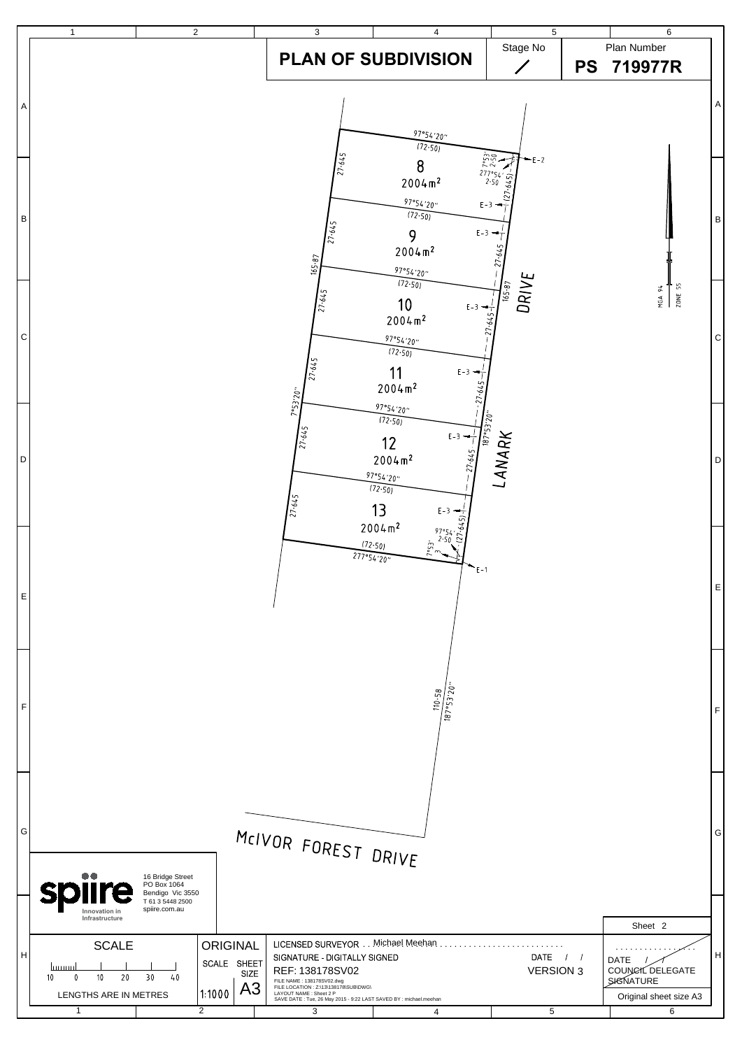

| G  | MCIVOR FOREST DRIVE                                                                      |                                                                                          |                                               |                                                                                                                                                                                                                                            |                |                          |                                                                             |   |  |
|----|------------------------------------------------------------------------------------------|------------------------------------------------------------------------------------------|-----------------------------------------------|--------------------------------------------------------------------------------------------------------------------------------------------------------------------------------------------------------------------------------------------|----------------|--------------------------|-----------------------------------------------------------------------------|---|--|
|    | $\bullet\bullet$<br><b>splire</b><br>Innovation in<br>Infrastructure                     | 16 Bridge Street<br>PO Box 1064<br>Bendigo Vic 3550<br>T 61 3 5448 2500<br>spiire.com.au |                                               |                                                                                                                                                                                                                                            |                |                          | Sheet 2                                                                     |   |  |
| lн | <b>SCALE</b><br>1111111111<br>10 <sup>°</sup><br>30<br>10<br>20<br>LENGTHS ARE IN METRES | <b>ORIGINAL</b><br>SCALE<br>40<br>1:1000                                                 | <b>SHEET</b><br><b>SIZE</b><br>A <sub>3</sub> | LICENSED SURVEYOR<br>SIGNATURE - DIGITALLY SIGNED<br>REF: 138178SV02<br>FILE NAME: 138178SV02.dwg<br>FILE LOCATION : Z:\13\138178\SUB\DWG\<br>LAYOUT NAME : Sheet 2 P<br>SAVE DATE: Tue, 26 May 2015 - 9:22 LAST SAVED BY : michael.meehan | Michael Meehan | DATE<br><b>VERSION 3</b> | .<br>DATE<br>COUNCIL DELEGATE<br><b>SIGNATURE</b><br>Original sheet size A3 | H |  |
|    |                                                                                          | 2                                                                                        |                                               | 3                                                                                                                                                                                                                                          |                | 5                        | 6                                                                           |   |  |